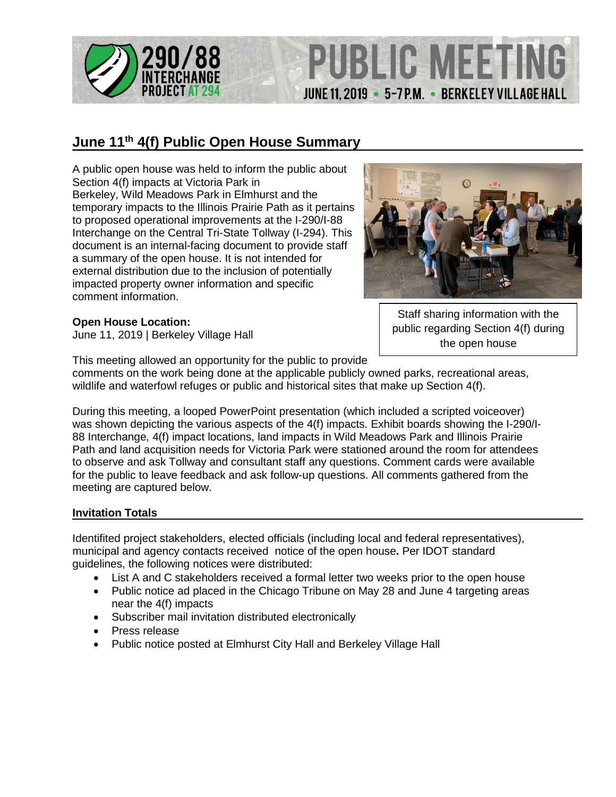

### **June 11th 4(f) Public Open House Summary**

A public open house was held to inform the public about Section 4(f) impacts at Victoria Park in Berkeley, Wild Meadows Park in Elmhurst and the temporary impacts to the Illinois Prairie Path as it pertains to proposed operational improvements at the I-290/I-88 Interchange on the Central Tri-State Tollway (I-294). This document is an internal-facing document to provide staff a summary of the open house. It is not intended for external distribution due to the inclusion of potentially impacted property owner information and specific comment information.

#### **Open House Location:**

June 11, 2019 | Berkeley Village Hall

PUBLIC MEETI

JUNE 11, 2019 . 5-7 P.M. . BERKELEY VILLAGE HALL

Staff sharing information with the public regarding Section 4(f) during the open house

This meeting allowed an opportunity for the public to provide

comments on the work being done at the applicable publicly owned parks, recreational areas, wildlife and waterfowl refuges or public and historical sites that make up Section 4(f).

During this meeting, a looped PowerPoint presentation (which included a scripted voiceover) was shown depicting the various aspects of the 4(f) impacts. Exhibit boards showing the I-290/I-88 Interchange, 4(f) impact locations, land impacts in Wild Meadows Park and Illinois Prairie Path and land acquisition needs for Victoria Park were stationed around the room for attendees to observe and ask Tollway and consultant staff any questions. Comment cards were available for the public to leave feedback and ask follow-up questions. All comments gathered from the meeting are captured below.

#### **Invitation Totals**

Identifited project stakeholders, elected officials (including local and federal representatives), municipal and agency contacts received notice of the open house**.** Per IDOT standard guidelines, the following notices were distributed:

- List A and C stakeholders received a formal letter two weeks prior to the open house
- Public notice ad placed in the Chicago Tribune on May 28 and June 4 targeting areas near the 4(f) impacts
- Subscriber mail invitation distributed electronically
- Press release
- Public notice posted at Elmhurst City Hall and Berkeley Village Hall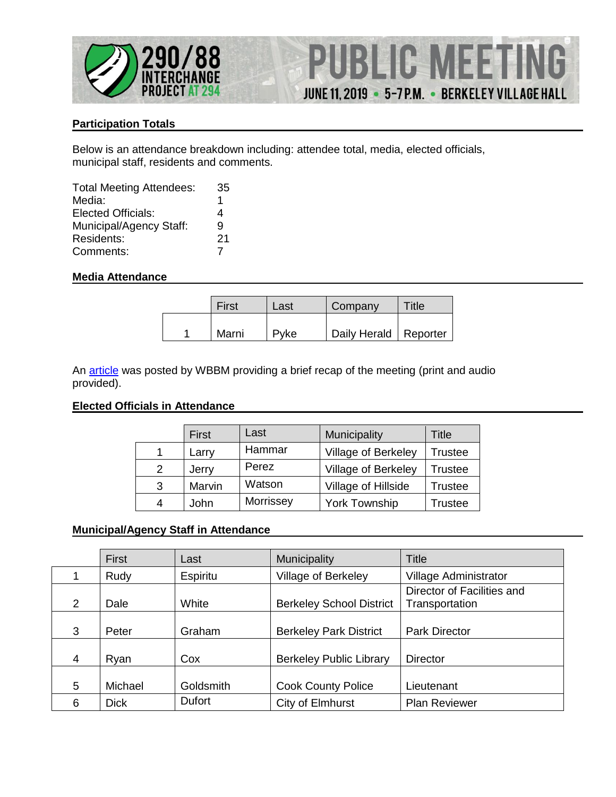

## **PUBLIC MEETIN** G JUNE 11, 2019 . 5-7 P.M. . BERKELEY VILLAGE HALL

#### **Participation Totals**

Below is an attendance breakdown including: attendee total, media, elected officials, municipal staff, residents and comments.

| <b>Total Meeting Attendees:</b> | 35 |
|---------------------------------|----|
| Media:                          | 1  |
| Elected Officials:              | 4  |
| Municipal/Agency Staff:         | 9  |
| Residents:                      | 21 |
| Comments:                       |    |

#### **Media Attendance**

| First | Last | Company                 | Title |
|-------|------|-------------------------|-------|
| Marni | Pyke | Daily Herald   Reporter |       |

An **article** was posted by WBBM providing a brief recap of the meeting (print and audio provided).

#### **Elected Officials in Attendance**

|               | First  | Last      | Municipality         | Title          |
|---------------|--------|-----------|----------------------|----------------|
|               | Larry  | Hammar    | Village of Berkeley  | <b>Trustee</b> |
| $\mathcal{P}$ | Jerry  | Perez     | Village of Berkeley  | Trustee        |
| 3             | Marvin | Watson    | Village of Hillside  | Trustee        |
|               | John   | Morrissey | <b>York Township</b> | Trustee        |

#### **Municipal/Agency Staff in Attendance**

|   | <b>First</b> | Last          | Municipality                    | <b>Title</b>                                 |
|---|--------------|---------------|---------------------------------|----------------------------------------------|
|   | Rudy         | Espiritu      | Village of Berkeley             | Village Administrator                        |
| 2 | Dale         | White         | <b>Berkeley School District</b> | Director of Facilities and<br>Transportation |
| 3 | Peter        | Graham        | <b>Berkeley Park District</b>   | <b>Park Director</b>                         |
| 4 | Ryan         | Cox           | <b>Berkeley Public Library</b>  | <b>Director</b>                              |
| 5 | Michael      | Goldsmith     | <b>Cook County Police</b>       | Lieutenant                                   |
| 6 | <b>Dick</b>  | <b>Dufort</b> | City of Elmhurst                | <b>Plan Reviewer</b>                         |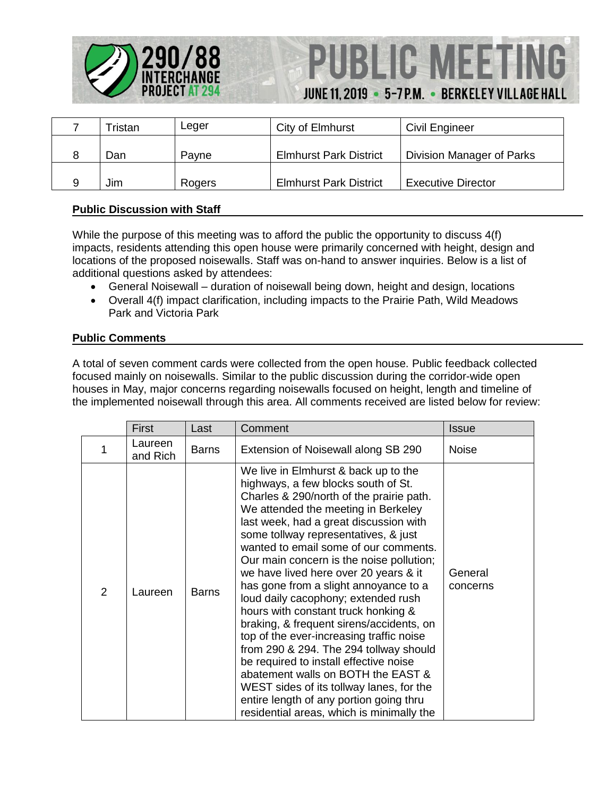

## **PUBLIC MEETIN** JUNE 11, 2019 . 5-7 P.M. . BERKELEY VILLAGE HALL

| ™ristan | ∟eger  | City of Elmhurst              | Civil Engineer            |
|---------|--------|-------------------------------|---------------------------|
| Dan     | Pavne  | <b>Elmhurst Park District</b> | Division Manager of Parks |
| Jim     | Rogers | <b>Elmhurst Park District</b> | <b>Executive Director</b> |

#### **Public Discussion with Staff**

While the purpose of this meeting was to afford the public the opportunity to discuss 4(f) impacts, residents attending this open house were primarily concerned with height, design and locations of the proposed noisewalls. Staff was on-hand to answer inquiries. Below is a list of additional questions asked by attendees:

- General Noisewall duration of noisewall being down, height and design, locations
- Overall 4(f) impact clarification, including impacts to the Prairie Path, Wild Meadows Park and Victoria Park

#### **Public Comments**

A total of seven comment cards were collected from the open house. Public feedback collected focused mainly on noisewalls. Similar to the public discussion during the corridor-wide open houses in May, major concerns regarding noisewalls focused on height, length and timeline of the implemented noisewall through this area. All comments received are listed below for review:

|   | First               | Last         | Comment                                                                                                                                                                                                                                                                                                                                                                                                                                                                                                                                                                                                                                                                                                                                                                                                                                                     | Issue               |
|---|---------------------|--------------|-------------------------------------------------------------------------------------------------------------------------------------------------------------------------------------------------------------------------------------------------------------------------------------------------------------------------------------------------------------------------------------------------------------------------------------------------------------------------------------------------------------------------------------------------------------------------------------------------------------------------------------------------------------------------------------------------------------------------------------------------------------------------------------------------------------------------------------------------------------|---------------------|
|   | Laureen<br>and Rich | <b>Barns</b> | Extension of Noisewall along SB 290                                                                                                                                                                                                                                                                                                                                                                                                                                                                                                                                                                                                                                                                                                                                                                                                                         | <b>Noise</b>        |
| 2 | Laureen             | <b>Barns</b> | We live in Elmhurst & back up to the<br>highways, a few blocks south of St.<br>Charles & 290/north of the prairie path.<br>We attended the meeting in Berkeley<br>last week, had a great discussion with<br>some tollway representatives, & just<br>wanted to email some of our comments.<br>Our main concern is the noise pollution;<br>we have lived here over 20 years & it<br>has gone from a slight annoyance to a<br>loud daily cacophony; extended rush<br>hours with constant truck honking &<br>braking, & frequent sirens/accidents, on<br>top of the ever-increasing traffic noise<br>from 290 & 294. The 294 tollway should<br>be required to install effective noise<br>abatement walls on BOTH the EAST &<br>WEST sides of its tollway lanes, for the<br>entire length of any portion going thru<br>residential areas, which is minimally the | General<br>concerns |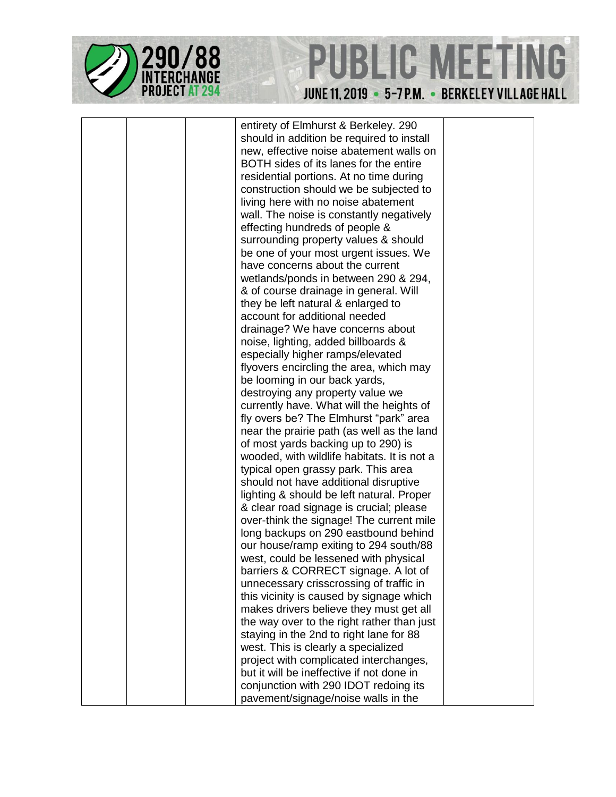



entirety of Elmhurst & Berkeley. 290 should in addition be required to install new, effective noise abatement walls on BOTH sides of its lanes for the entire residential portions. At no time during construction should we be subjected to living here with no noise abatement wall. The noise is constantly negatively effecting hundreds of people & surrounding property values & should be one of your most urgent issues. We have concerns about the current wetlands/ponds in between 290 & 294, & of course drainage in general. Will they be left natural & enlarged to account for additional needed drainage? We have concerns about noise, lighting, added billboards & especially higher ramps/elevated flyovers encircling the area, which may be looming in our back yards, destroying any property value we currently have. What will the heights of fly overs be? The Elmhurst "park" area near the prairie path (as well as the land of most yards backing up to 290) is wooded, with wildlife habitats. It is not a typical open grassy park. This area should not have additional disruptive lighting & should be left natural. Proper & clear road signage is crucial; please over-think the signage! The current mile long backups on 290 eastbound behind our house/ramp exiting to 294 south/88 west, could be lessened with physical barriers & CORRECT signage. A lot of unnecessary crisscrossing of traffic in this vicinity is caused by signage which makes drivers believe they must get all the way over to the right rather than just staying in the 2nd to right lane for 88 west. This is clearly a specialized project with complicated interchanges, but it will be ineffective if not done in conjunction with 290 IDOT redoing its pavement/signage/noise walls in the